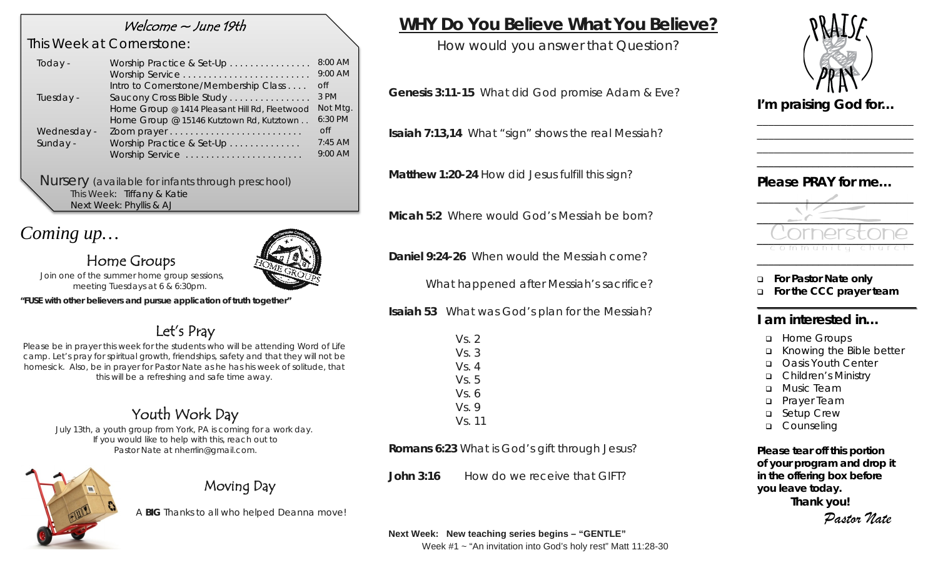### Welcome ~ June 19th

### *This Week at Cornerstone:*

| Today -     | Worship Practice & Set-Up                     | $8:00$ AM<br>9:00 AM |
|-------------|-----------------------------------------------|----------------------|
|             | Intro to Cornerstone/Membership Class         | $\overline{C}$       |
| Tuesday -   | Saucony Cross Bible Study                     | 3 PM                 |
|             | Home Group @ 1414 Pleasant Hill Rd, Fleetwood | Not Mtg.             |
|             | Home Group @ 15146 Kutztown Rd, Kutztown      | 6:30 PM              |
| Wednesday - |                                               | <sub>O</sub> ff      |
| Sunday -    | Worship Practice & Set-Up                     | $7:45$ AM            |
|             | Worship Service                               | 9:00 AM              |
|             |                                               |                      |

*Nursery (available for infants through preschool)* This Week: Tiffany & Katie Next Week: Phyllis & AJ

# *Coming up…*

## Home Groups

*Join one of the summer home group sessions, meeting Tuesdays at 6 & 6:30pm.* 

*"FUSE with other believers and pursue application of truth together"*

# Let's Pray

*Please be in prayer this week for the students who will be attending Word of Life camp. Let's pray for spiritual growth, friendships, safety and that they will not be homesick. Also, be in prayer for Pastor Nate as he has his week of solitude, that this will be a refreshing and safe time away.* 

# Youth Work Day

*July 13th, a youth group from York, PA is coming for a work day. If you would like to help with this, reach out to Pastor Nate at nherrlin@gmail.com.*



# Moving Day

A **BIG** Thanks to all who helped Deanna move!

# **WHY Do You Believe What You Believe?**

How would you answer that Question?

**Genesis 3:11-15** What did God promise Adam & Eve?

**Isaiah 7:13,14** What "sign" shows the real Messiah?

**Matthew 1:20-24** How did Jesus fulfill this sign?

**Micah 5:2** Where would God's Messiah be born?

**Daniel 9:24-26** When would the Messiah come?

What happened after Messiah's sacrifice?

**Isaiah 53** What was God's plan for the Messiah?

| Vs. 2  |  |
|--------|--|
| Vs. 3  |  |
| Vs. 4  |  |
| Vs. 5  |  |
| Vs. 6  |  |
| Vs. 9  |  |
| Vs. 11 |  |
|        |  |

**Romans 6:23** What is God's gift through Jesus?

**John 3:16** How do we receive that GIFT?



\_\_\_\_\_\_\_\_\_\_\_\_\_\_\_\_\_\_\_\_\_\_\_\_\_\_\_\_ \_\_\_\_\_\_\_\_\_\_\_\_\_\_\_\_\_\_\_\_\_\_\_\_\_\_\_\_ \_\_\_\_\_\_\_\_\_\_\_\_\_\_\_\_\_\_\_\_\_\_\_\_\_\_\_\_ \_\_\_\_\_\_\_\_\_\_\_\_\_\_\_\_\_\_\_\_\_\_\_\_\_\_\_\_

*I'm praising God for…* 

### *Please PRAY for me…*



- **For Pastor Nate only**
- **For the CCC prayer team**

### **I am interested in…**

- **u** Home Groups
- Knowing the Bible better
- Oasis Youth Center
- Children's Ministry
- **D** Music Team
- **D** Prayer Team
- **Q** Setup Crew
- **Q** Counseling

*Please tear off this portion of your program and drop it in the offering box before you leave today.*

**Thank you!** *Pastor Nate*

**Next Week: New teaching series begins – "GENTLE"**

Week #1 ~ "An invitation into God's holy rest" Matt 11:28-30